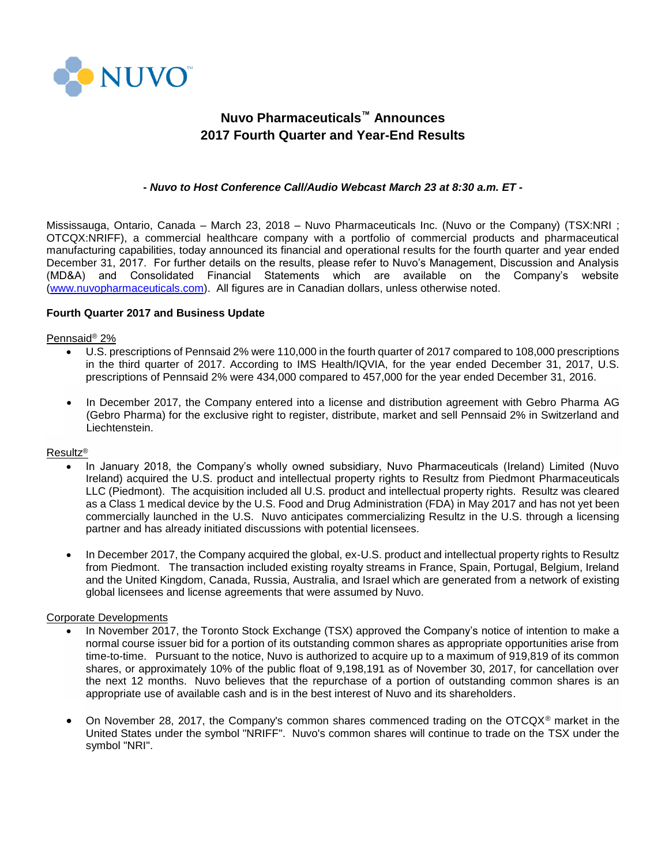

# **Nuvo Pharmaceuticals™ Announces 2017 Fourth Quarter and Year-End Results**

## *- Nuvo to Host Conference Call/Audio Webcast March 23 at 8:30 a.m. ET -*

Mississauga, Ontario, Canada – March 23, 2018 – Nuvo Pharmaceuticals Inc. (Nuvo or the Company) (TSX:NRI ; OTCQX:NRIFF), a commercial healthcare company with a portfolio of commercial products and pharmaceutical manufacturing capabilities, today announced its financial and operational results for the fourth quarter and year ended December 31, 2017. For further details on the results, please refer to Nuvo's Management, Discussion and Analysis (MD&A) and Consolidated Financial Statements which are available on the Company's website [\(www.nuvopharmaceuticals.com\)](http://www.nuvopharmaceuticals.com/). All figures are in Canadian dollars, unless otherwise noted.

#### **Fourth Quarter 2017 and Business Update**

#### Pennsaid® 2%

- U.S. prescriptions of Pennsaid 2% were 110,000 in the fourth quarter of 2017 compared to 108,000 prescriptions in the third quarter of 2017. According to IMS Health/IQVIA, for the year ended December 31, 2017, U.S. prescriptions of Pennsaid 2% were 434,000 compared to 457,000 for the year ended December 31, 2016.
- In December 2017, the Company entered into a license and distribution agreement with Gebro Pharma AG (Gebro Pharma) for the exclusive right to register, distribute, market and sell Pennsaid 2% in Switzerland and Liechtenstein.

#### Resultz®

- In January 2018, the Company's wholly owned subsidiary, Nuvo Pharmaceuticals (Ireland) Limited (Nuvo Ireland) acquired the U.S. product and intellectual property rights to Resultz from Piedmont Pharmaceuticals LLC (Piedmont). The acquisition included all U.S. product and intellectual property rights. Resultz was cleared as a Class 1 medical device by the U.S. Food and Drug Administration (FDA) in May 2017 and has not yet been commercially launched in the U.S. Nuvo anticipates commercializing Resultz in the U.S. through a licensing partner and has already initiated discussions with potential licensees.
- In December 2017, the Company acquired the global, ex-U.S. product and intellectual property rights to Resultz from Piedmont. The transaction included existing royalty streams in France, Spain, Portugal, Belgium, Ireland and the United Kingdom, Canada, Russia, Australia, and Israel which are generated from a network of existing global licensees and license agreements that were assumed by Nuvo.

#### Corporate Developments

- In November 2017, the Toronto Stock Exchange (TSX) approved the Company's notice of intention to make a normal course issuer bid for a portion of its outstanding common shares as appropriate opportunities arise from time-to-time. Pursuant to the notice, Nuvo is authorized to acquire up to a maximum of 919,819 of its common shares, or approximately 10% of the public float of 9,198,191 as of November 30, 2017, for cancellation over the next 12 months. Nuvo believes that the repurchase of a portion of outstanding common shares is an appropriate use of available cash and is in the best interest of Nuvo and its shareholders.
- On November 28, 2017, the Company's common shares commenced trading on the OTCQX<sup>®</sup> market in the United States under the symbol "NRIFF". Nuvo's common shares will continue to trade on the TSX under the symbol "NRI".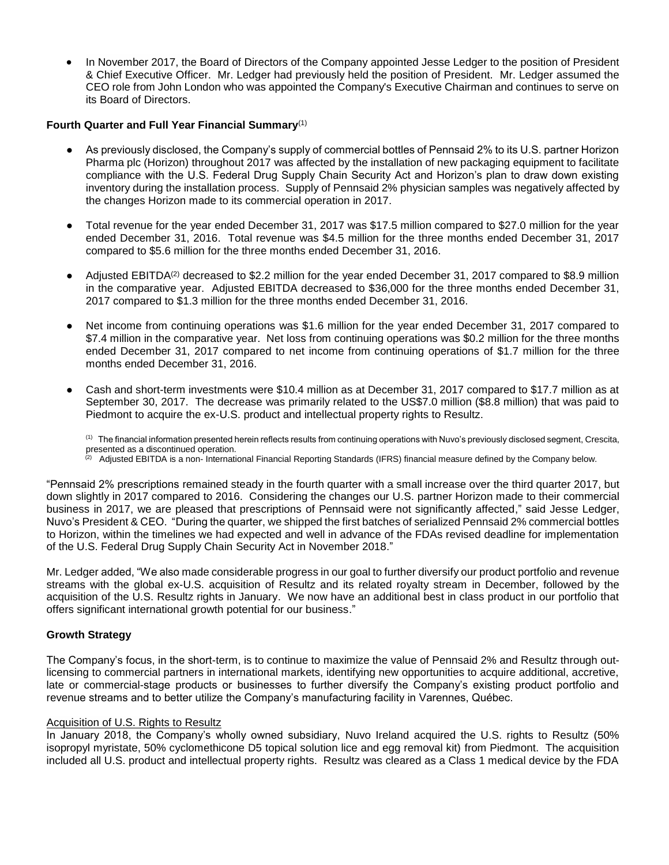• In November 2017, the Board of Directors of the Company appointed Jesse Ledger to the position of President & Chief Executive Officer. Mr. Ledger had previously held the position of President. Mr. Ledger assumed the CEO role from John London who was appointed the Company's Executive Chairman and continues to serve on its Board of Directors.

# **Fourth Quarter and Full Year Financial Summary**(1)

- As previously disclosed, the Company's supply of commercial bottles of Pennsaid 2% to its U.S. partner Horizon Pharma plc (Horizon) throughout 2017 was affected by the installation of new packaging equipment to facilitate compliance with the U.S. Federal Drug Supply Chain Security Act and Horizon's plan to draw down existing inventory during the installation process. Supply of Pennsaid 2% physician samples was negatively affected by the changes Horizon made to its commercial operation in 2017.
- Total revenue for the year ended December 31, 2017 was \$17.5 million compared to \$27.0 million for the year ended December 31, 2016. Total revenue was \$4.5 million for the three months ended December 31, 2017 compared to \$5.6 million for the three months ended December 31, 2016.
- Adjusted EBITDA<sup>(2)</sup> decreased to \$2.2 million for the year ended December 31, 2017 compared to \$8.9 million in the comparative year. Adjusted EBITDA decreased to \$36,000 for the three months ended December 31, 2017 compared to \$1.3 million for the three months ended December 31, 2016.
- Net income from continuing operations was \$1.6 million for the year ended December 31, 2017 compared to \$7.4 million in the comparative year. Net loss from continuing operations was \$0.2 million for the three months ended December 31, 2017 compared to net income from continuing operations of \$1.7 million for the three months ended December 31, 2016.
- Cash and short-term investments were \$10.4 million as at December 31, 2017 compared to \$17.7 million as at September 30, 2017. The decrease was primarily related to the US\$7.0 million (\$8.8 million) that was paid to Piedmont to acquire the ex-U.S. product and intellectual property rights to Resultz.

 $^{\left(1\right)}$  The financial information presented herein reflects results from continuing operations with Nuvo's previously disclosed segment, Crescita, presented as a discontinued operation.

<sup>(2)</sup> Adjusted EBITDA is a non- International Financial Reporting Standards (IFRS) financial measure defined by the Company below.

"Pennsaid 2% prescriptions remained steady in the fourth quarter with a small increase over the third quarter 2017, but down slightly in 2017 compared to 2016. Considering the changes our U.S. partner Horizon made to their commercial business in 2017, we are pleased that prescriptions of Pennsaid were not significantly affected," said Jesse Ledger, Nuvo's President & CEO. "During the quarter, we shipped the first batches of serialized Pennsaid 2% commercial bottles to Horizon, within the timelines we had expected and well in advance of the FDAs revised deadline for implementation of the U.S. Federal Drug Supply Chain Security Act in November 2018."

Mr. Ledger added, "We also made considerable progress in our goal to further diversify our product portfolio and revenue streams with the global ex-U.S. acquisition of Resultz and its related royalty stream in December, followed by the acquisition of the U.S. Resultz rights in January. We now have an additional best in class product in our portfolio that offers significant international growth potential for our business."

#### **Growth Strategy**

The Company's focus, in the short-term, is to continue to maximize the value of Pennsaid 2% and Resultz through outlicensing to commercial partners in international markets, identifying new opportunities to acquire additional, accretive, late or commercial-stage products or businesses to further diversify the Company's existing product portfolio and revenue streams and to better utilize the Company's manufacturing facility in Varennes, Québec.

#### Acquisition of U.S. Rights to Resultz

In January 2018, the Company's wholly owned subsidiary, Nuvo Ireland acquired the U.S. rights to Resultz (50% isopropyl myristate, 50% cyclomethicone D5 topical solution lice and egg removal kit) from Piedmont. The acquisition included all U.S. product and intellectual property rights. Resultz was cleared as a Class 1 medical device by the FDA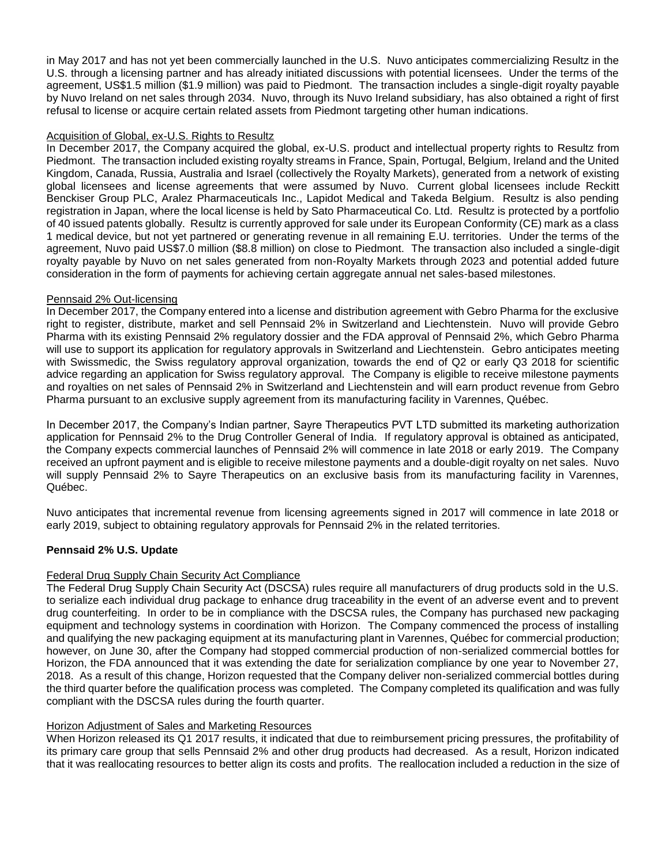in May 2017 and has not yet been commercially launched in the U.S. Nuvo anticipates commercializing Resultz in the U.S. through a licensing partner and has already initiated discussions with potential licensees. Under the terms of the agreement, US\$1.5 million (\$1.9 million) was paid to Piedmont. The transaction includes a single-digit royalty payable by Nuvo Ireland on net sales through 2034. Nuvo, through its Nuvo Ireland subsidiary, has also obtained a right of first refusal to license or acquire certain related assets from Piedmont targeting other human indications.

## Acquisition of Global, ex-U.S. Rights to Resultz

In December 2017, the Company acquired the global, ex-U.S. product and intellectual property rights to Resultz from Piedmont. The transaction included existing royalty streams in France, Spain, Portugal, Belgium, Ireland and the United Kingdom, Canada, Russia, Australia and Israel (collectively the Royalty Markets), generated from a network of existing global licensees and license agreements that were assumed by Nuvo. Current global licensees include Reckitt Benckiser Group PLC, Aralez Pharmaceuticals Inc., Lapidot Medical and Takeda Belgium. Resultz is also pending registration in Japan, where the local license is held by Sato Pharmaceutical Co. Ltd. Resultz is protected by a portfolio of 40 issued patents globally. Resultz is currently approved for sale under its European Conformity (CE) mark as a class 1 medical device, but not yet partnered or generating revenue in all remaining E.U. territories. Under the terms of the agreement, Nuvo paid US\$7.0 million (\$8.8 million) on close to Piedmont. The transaction also included a single-digit royalty payable by Nuvo on net sales generated from non-Royalty Markets through 2023 and potential added future consideration in the form of payments for achieving certain aggregate annual net sales-based milestones.

## Pennsaid 2% Out-licensing

In December 2017, the Company entered into a license and distribution agreement with Gebro Pharma for the exclusive right to register, distribute, market and sell Pennsaid 2% in Switzerland and Liechtenstein. Nuvo will provide Gebro Pharma with its existing Pennsaid 2% regulatory dossier and the FDA approval of Pennsaid 2%, which Gebro Pharma will use to support its application for regulatory approvals in Switzerland and Liechtenstein. Gebro anticipates meeting with Swissmedic, the Swiss regulatory approval organization, towards the end of Q2 or early Q3 2018 for scientific advice regarding an application for Swiss regulatory approval. The Company is eligible to receive milestone payments and royalties on net sales of Pennsaid 2% in Switzerland and Liechtenstein and will earn product revenue from Gebro Pharma pursuant to an exclusive supply agreement from its manufacturing facility in Varennes, Québec.

In December 2017, the Company's Indian partner, Sayre Therapeutics PVT LTD submitted its marketing authorization application for Pennsaid 2% to the Drug Controller General of India. If regulatory approval is obtained as anticipated, the Company expects commercial launches of Pennsaid 2% will commence in late 2018 or early 2019. The Company received an upfront payment and is eligible to receive milestone payments and a double-digit royalty on net sales. Nuvo will supply Pennsaid 2% to Sayre Therapeutics on an exclusive basis from its manufacturing facility in Varennes, Québec.

Nuvo anticipates that incremental revenue from licensing agreements signed in 2017 will commence in late 2018 or early 2019, subject to obtaining regulatory approvals for Pennsaid 2% in the related territories.

# **Pennsaid 2% U.S. Update**

#### Federal Drug Supply Chain Security Act Compliance

The Federal Drug Supply Chain Security Act (DSCSA) rules require all manufacturers of drug products sold in the U.S. to serialize each individual drug package to enhance drug traceability in the event of an adverse event and to prevent drug counterfeiting. In order to be in compliance with the DSCSA rules, the Company has purchased new packaging equipment and technology systems in coordination with Horizon. The Company commenced the process of installing and qualifying the new packaging equipment at its manufacturing plant in Varennes, Québec for commercial production; however, on June 30, after the Company had stopped commercial production of non-serialized commercial bottles for Horizon, the FDA announced that it was extending the date for serialization compliance by one year to November 27, 2018. As a result of this change, Horizon requested that the Company deliver non-serialized commercial bottles during the third quarter before the qualification process was completed. The Company completed its qualification and was fully compliant with the DSCSA rules during the fourth quarter.

#### Horizon Adjustment of Sales and Marketing Resources

When Horizon released its Q1 2017 results, it indicated that due to reimbursement pricing pressures, the profitability of its primary care group that sells Pennsaid 2% and other drug products had decreased. As a result, Horizon indicated that it was reallocating resources to better align its costs and profits. The reallocation included a reduction in the size of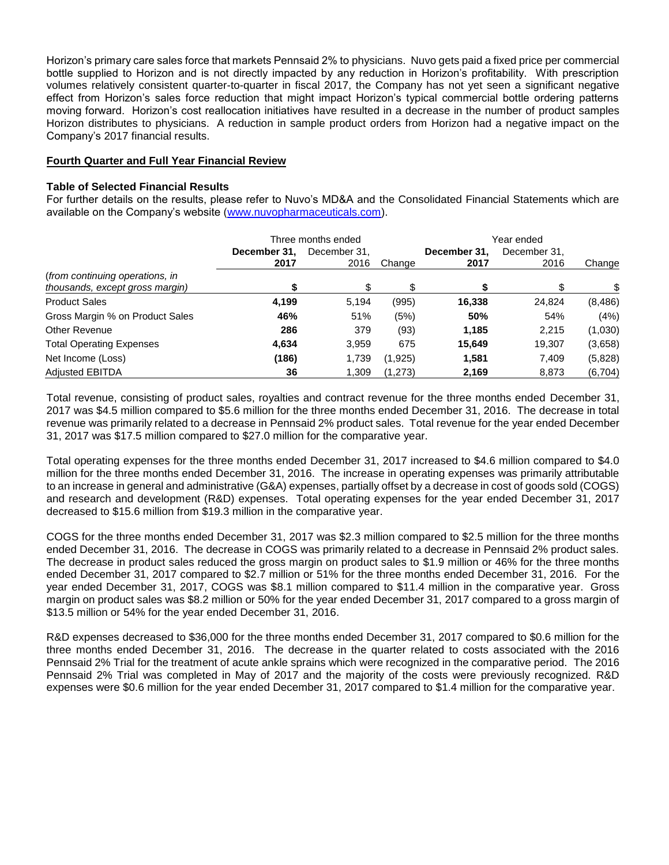Horizon's primary care sales force that markets Pennsaid 2% to physicians. Nuvo gets paid a fixed price per commercial bottle supplied to Horizon and is not directly impacted by any reduction in Horizon's profitability. With prescription volumes relatively consistent quarter-to-quarter in fiscal 2017, the Company has not yet seen a significant negative effect from Horizon's sales force reduction that might impact Horizon's typical commercial bottle ordering patterns moving forward. Horizon's cost reallocation initiatives have resulted in a decrease in the number of product samples Horizon distributes to physicians. A reduction in sample product orders from Horizon had a negative impact on the Company's 2017 financial results.

### **Fourth Quarter and Full Year Financial Review**

### **Table of Selected Financial Results**

For further details on the results, please refer to Nuvo's MD&A and the Consolidated Financial Statements which are available on the Company's website [\(www.nuvopharmaceuticals.com\)](http://www.nuvopharmaceuticals.com/).

|                                                                    | Three months ended |              |         | Year ended   |              |          |
|--------------------------------------------------------------------|--------------------|--------------|---------|--------------|--------------|----------|
|                                                                    | December 31,       | December 31. |         | December 31, | December 31, |          |
|                                                                    | 2017               | 2016         | Change  | 2017         | 2016         | Change   |
| (from continuing operations, in<br>thousands, except gross margin) |                    | \$.          |         |              |              | \$.      |
| <b>Product Sales</b>                                               | 4,199              | 5.194        | (995)   | 16,338       | 24,824       | (8, 486) |
| Gross Margin % on Product Sales                                    | 46%                | 51%          | (5%)    | 50%          | 54%          | (4%)     |
| Other Revenue                                                      | 286                | 379          | (93)    | 1,185        | 2,215        | (1,030)  |
| <b>Total Operating Expenses</b>                                    | 4,634              | 3.959        | 675     | 15.649       | 19,307       | (3,658)  |
| Net Income (Loss)                                                  | (186)              | 1,739        | (1,925) | 1.581        | 7,409        | (5,828)  |
| <b>Adjusted EBITDA</b>                                             | 36                 | 1,309        | (1,273) | 2,169        | 8,873        | (6, 704) |

Total revenue, consisting of product sales, royalties and contract revenue for the three months ended December 31, 2017 was \$4.5 million compared to \$5.6 million for the three months ended December 31, 2016. The decrease in total revenue was primarily related to a decrease in Pennsaid 2% product sales. Total revenue for the year ended December 31, 2017 was \$17.5 million compared to \$27.0 million for the comparative year.

Total operating expenses for the three months ended December 31, 2017 increased to \$4.6 million compared to \$4.0 million for the three months ended December 31, 2016. The increase in operating expenses was primarily attributable to an increase in general and administrative (G&A) expenses, partially offset by a decrease in cost of goods sold (COGS) and research and development (R&D) expenses. Total operating expenses for the year ended December 31, 2017 decreased to \$15.6 million from \$19.3 million in the comparative year.

COGS for the three months ended December 31, 2017 was \$2.3 million compared to \$2.5 million for the three months ended December 31, 2016. The decrease in COGS was primarily related to a decrease in Pennsaid 2% product sales. The decrease in product sales reduced the gross margin on product sales to \$1.9 million or 46% for the three months ended December 31, 2017 compared to \$2.7 million or 51% for the three months ended December 31, 2016. For the year ended December 31, 2017, COGS was \$8.1 million compared to \$11.4 million in the comparative year. Gross margin on product sales was \$8.2 million or 50% for the year ended December 31, 2017 compared to a gross margin of \$13.5 million or 54% for the year ended December 31, 2016.

R&D expenses decreased to \$36,000 for the three months ended December 31, 2017 compared to \$0.6 million for the three months ended December 31, 2016. The decrease in the quarter related to costs associated with the 2016 Pennsaid 2% Trial for the treatment of acute ankle sprains which were recognized in the comparative period. The 2016 Pennsaid 2% Trial was completed in May of 2017 and the majority of the costs were previously recognized. R&D expenses were \$0.6 million for the year ended December 31, 2017 compared to \$1.4 million for the comparative year.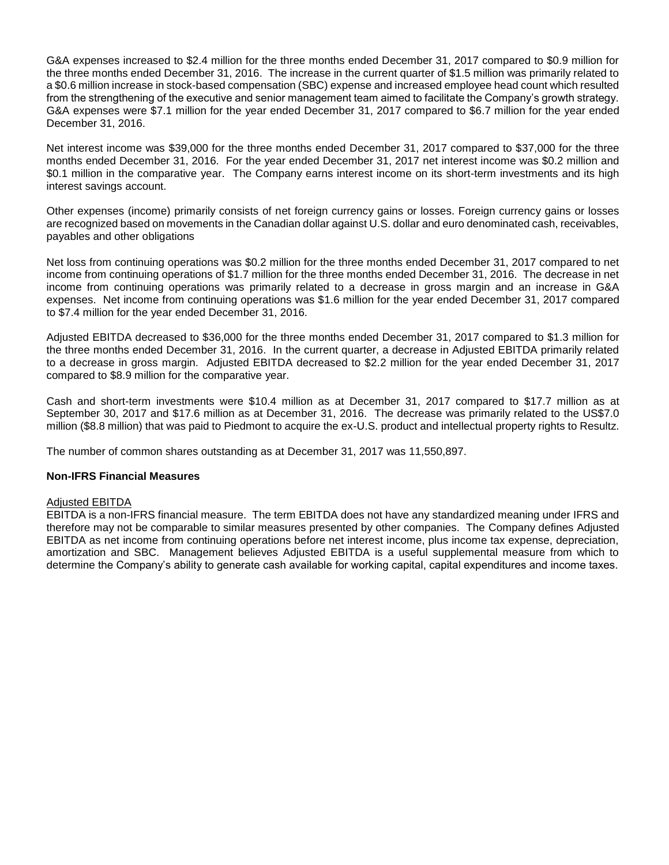G&A expenses increased to \$2.4 million for the three months ended December 31, 2017 compared to \$0.9 million for the three months ended December 31, 2016. The increase in the current quarter of \$1.5 million was primarily related to a \$0.6 million increase in stock-based compensation (SBC) expense and increased employee head count which resulted from the strengthening of the executive and senior management team aimed to facilitate the Company's growth strategy. G&A expenses were \$7.1 million for the year ended December 31, 2017 compared to \$6.7 million for the year ended December 31, 2016.

Net interest income was \$39,000 for the three months ended December 31, 2017 compared to \$37,000 for the three months ended December 31, 2016. For the year ended December 31, 2017 net interest income was \$0.2 million and \$0.1 million in the comparative year. The Company earns interest income on its short-term investments and its high interest savings account.

Other expenses (income) primarily consists of net foreign currency gains or losses. Foreign currency gains or losses are recognized based on movements in the Canadian dollar against U.S. dollar and euro denominated cash, receivables, payables and other obligations

Net loss from continuing operations was \$0.2 million for the three months ended December 31, 2017 compared to net income from continuing operations of \$1.7 million for the three months ended December 31, 2016. The decrease in net income from continuing operations was primarily related to a decrease in gross margin and an increase in G&A expenses. Net income from continuing operations was \$1.6 million for the year ended December 31, 2017 compared to \$7.4 million for the year ended December 31, 2016.

Adjusted EBITDA decreased to \$36,000 for the three months ended December 31, 2017 compared to \$1.3 million for the three months ended December 31, 2016. In the current quarter, a decrease in Adjusted EBITDA primarily related to a decrease in gross margin. Adjusted EBITDA decreased to \$2.2 million for the year ended December 31, 2017 compared to \$8.9 million for the comparative year.

Cash and short-term investments were \$10.4 million as at December 31, 2017 compared to \$17.7 million as at September 30, 2017 and \$17.6 million as at December 31, 2016. The decrease was primarily related to the US\$7.0 million (\$8.8 million) that was paid to Piedmont to acquire the ex-U.S. product and intellectual property rights to Resultz.

The number of common shares outstanding as at December 31, 2017 was 11,550,897.

#### **Non-IFRS Financial Measures**

#### Adjusted EBITDA

EBITDA is a non-IFRS financial measure. The term EBITDA does not have any standardized meaning under IFRS and therefore may not be comparable to similar measures presented by other companies. The Company defines Adjusted EBITDA as net income from continuing operations before net interest income, plus income tax expense, depreciation, amortization and SBC. Management believes Adjusted EBITDA is a useful supplemental measure from which to determine the Company's ability to generate cash available for working capital, capital expenditures and income taxes.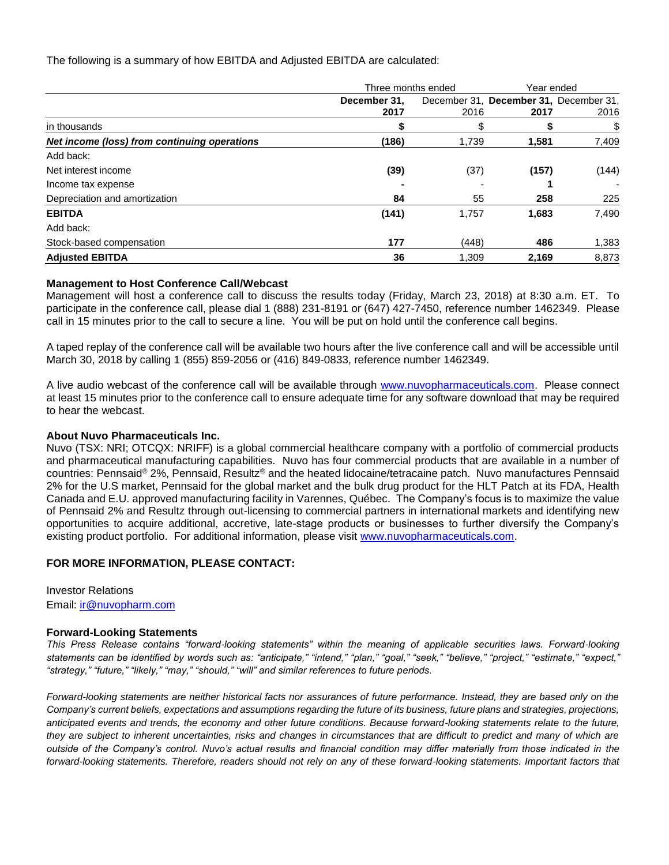The following is a summary of how EBITDA and Adjusted EBITDA are calculated:

|                                              | Three months ended |       | Year ended                             |       |
|----------------------------------------------|--------------------|-------|----------------------------------------|-------|
|                                              | December 31.       |       | December 31, December 31, December 31, |       |
|                                              | 2017               | 2016  | 2017                                   | 2016  |
| in thousands                                 | S                  | \$    |                                        | \$    |
| Net income (loss) from continuing operations | (186)              | 1,739 | 1,581                                  | 7,409 |
| Add back:                                    |                    |       |                                        |       |
| Net interest income                          | (39)               | (37)  | (157)                                  | (144) |
| Income tax expense                           |                    |       |                                        |       |
| Depreciation and amortization                | 84                 | 55    | 258                                    | 225   |
| <b>EBITDA</b>                                | (141)              | 1,757 | 1,683                                  | 7,490 |
| Add back:                                    |                    |       |                                        |       |
| Stock-based compensation                     | 177                | (448) | 486                                    | 1,383 |
| <b>Adjusted EBITDA</b>                       | 36                 | 1,309 | 2,169                                  | 8,873 |

#### **Management to Host Conference Call/Webcast**

Management will host a conference call to discuss the results today (Friday, March 23, 2018) at 8:30 a.m. ET. To participate in the conference call, please dial 1 (888) 231-8191 or (647) 427-7450, reference number 1462349. Please call in 15 minutes prior to the call to secure a line. You will be put on hold until the conference call begins.

A taped replay of the conference call will be available two hours after the live conference call and will be accessible until March 30, 2018 by calling 1 (855) 859-2056 or (416) 849-0833, reference number 1462349.

A live audio webcast of the conference call will be available through [www.nuvopharmaceuticals.com.](http://www.nuvopharmaceuticals.com/) Please connect at least 15 minutes prior to the conference call to ensure adequate time for any software download that may be required to hear the webcast.

#### **About Nuvo Pharmaceuticals Inc.**

Nuvo (TSX: NRI; OTCQX: NRIFF) is a global commercial healthcare company with a portfolio of commercial products and pharmaceutical manufacturing capabilities. Nuvo has four commercial products that are available in a number of countries: Pennsaid® 2%, Pennsaid, Resultz® and the heated lidocaine/tetracaine patch. Nuvo manufactures Pennsaid 2% for the U.S market, Pennsaid for the global market and the bulk drug product for the HLT Patch at its FDA, Health Canada and E.U. approved manufacturing facility in Varennes, Québec. The Company's focus is to maximize the value of Pennsaid 2% and Resultz through out-licensing to commercial partners in international markets and identifying new opportunities to acquire additional, accretive, late-stage products or businesses to further diversify the Company's existing product portfolio. For additional information, please visit [www.nuvopharmaceuticals.com.](http://www.nuvopharmaceuticals.com/)

#### **FOR MORE INFORMATION, PLEASE CONTACT:**

Investor Relations Email: [ir@nuvopharm.com](mailto:ir@nuvopharm.com)

#### **Forward-Looking Statements**

*This Press Release contains "forward-looking statements" within the meaning of applicable securities laws. Forward-looking statements can be identified by words such as: "anticipate," "intend," "plan," "goal," "seek," "believe," "project," "estimate," "expect," "strategy," "future," "likely," "may," "should," "will" and similar references to future periods.* 

*Forward-looking statements are neither historical facts nor assurances of future performance. Instead, they are based only on the Company's current beliefs, expectations and assumptions regarding the future of its business, future plans and strategies, projections, anticipated events and trends, the economy and other future conditions. Because forward-looking statements relate to the future, they are subject to inherent uncertainties, risks and changes in circumstances that are difficult to predict and many of which are outside of the Company's control. Nuvo's actual results and financial condition may differ materially from those indicated in the*  forward-looking statements. Therefore, readers should not rely on any of these forward-looking statements. Important factors that